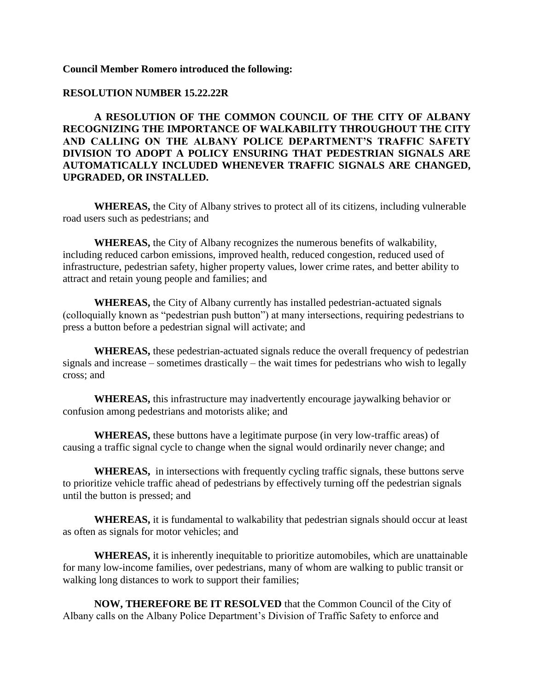## **Council Member Romero introduced the following:**

### **RESOLUTION NUMBER 15.22.22R**

**A RESOLUTION OF THE COMMON COUNCIL OF THE CITY OF ALBANY RECOGNIZING THE IMPORTANCE OF WALKABILITY THROUGHOUT THE CITY AND CALLING ON THE ALBANY POLICE DEPARTMENT'S TRAFFIC SAFETY DIVISION TO ADOPT A POLICY ENSURING THAT PEDESTRIAN SIGNALS ARE AUTOMATICALLY INCLUDED WHENEVER TRAFFIC SIGNALS ARE CHANGED, UPGRADED, OR INSTALLED.** 

**WHEREAS,** the City of Albany strives to protect all of its citizens, including vulnerable road users such as pedestrians; and

**WHEREAS,** the City of Albany recognizes the numerous benefits of walkability, including reduced carbon emissions, improved health, reduced congestion, reduced used of infrastructure, pedestrian safety, higher property values, lower crime rates, and better ability to attract and retain young people and families; and

**WHEREAS,** the City of Albany currently has installed pedestrian-actuated signals (colloquially known as "pedestrian push button") at many intersections, requiring pedestrians to press a button before a pedestrian signal will activate; and

**WHEREAS,** these pedestrian-actuated signals reduce the overall frequency of pedestrian signals and increase – sometimes drastically – the wait times for pedestrians who wish to legally cross; and

**WHEREAS,** this infrastructure may inadvertently encourage jaywalking behavior or confusion among pedestrians and motorists alike; and

**WHEREAS,** these buttons have a legitimate purpose (in very low-traffic areas) of causing a traffic signal cycle to change when the signal would ordinarily never change; and

**WHEREAS,** in intersections with frequently cycling traffic signals, these buttons serve to prioritize vehicle traffic ahead of pedestrians by effectively turning off the pedestrian signals until the button is pressed; and

**WHEREAS,** it is fundamental to walkability that pedestrian signals should occur at least as often as signals for motor vehicles; and

**WHEREAS,** it is inherently inequitable to prioritize automobiles, which are unattainable for many low-income families, over pedestrians, many of whom are walking to public transit or walking long distances to work to support their families;

**NOW, THEREFORE BE IT RESOLVED** that the Common Council of the City of Albany calls on the Albany Police Department's Division of Traffic Safety to enforce and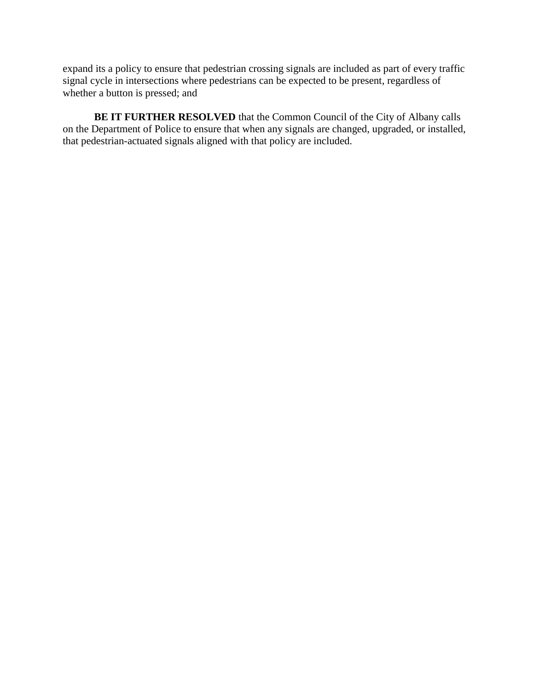expand its a policy to ensure that pedestrian crossing signals are included as part of every traffic signal cycle in intersections where pedestrians can be expected to be present, regardless of whether a button is pressed; and

**BE IT FURTHER RESOLVED** that the Common Council of the City of Albany calls on the Department of Police to ensure that when any signals are changed, upgraded, or installed, that pedestrian-actuated signals aligned with that policy are included.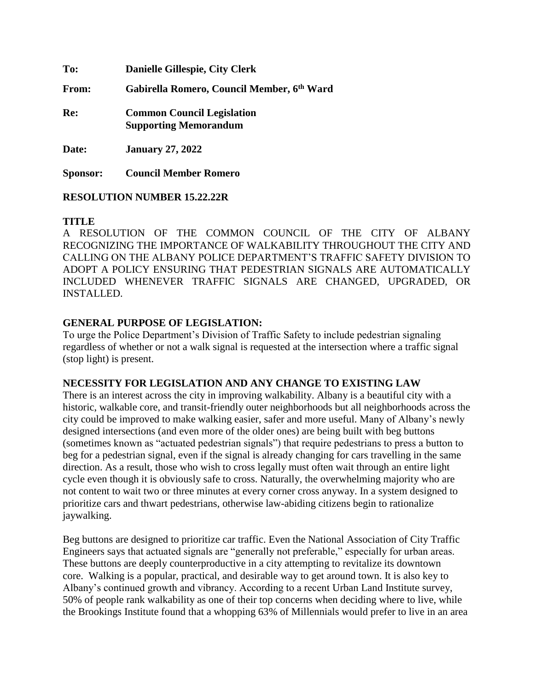**To: Danielle Gillespie, City Clerk From: Gabirella Romero, Council Member, 6th Ward Re: Common Council Legislation Supporting Memorandum Date: January 27, 2022 Sponsor: Council Member Romero**

**RESOLUTION NUMBER 15.22.22R**

# **TITLE**

A RESOLUTION OF THE COMMON COUNCIL OF THE CITY OF ALBANY RECOGNIZING THE IMPORTANCE OF WALKABILITY THROUGHOUT THE CITY AND CALLING ON THE ALBANY POLICE DEPARTMENT'S TRAFFIC SAFETY DIVISION TO ADOPT A POLICY ENSURING THAT PEDESTRIAN SIGNALS ARE AUTOMATICALLY INCLUDED WHENEVER TRAFFIC SIGNALS ARE CHANGED, UPGRADED, OR INSTALLED.

# **GENERAL PURPOSE OF LEGISLATION:**

To urge the Police Department's Division of Traffic Safety to include pedestrian signaling regardless of whether or not a walk signal is requested at the intersection where a traffic signal (stop light) is present.

## **NECESSITY FOR LEGISLATION AND ANY CHANGE TO EXISTING LAW**

There is an interest across the city in improving walkability. Albany is a beautiful city with a historic, walkable core, and transit-friendly outer neighborhoods but all neighborhoods across the city could be improved to make walking easier, safer and more useful. Many of Albany's newly designed intersections (and even more of the older ones) are being built with beg buttons (sometimes known as "actuated pedestrian signals") that require pedestrians to press a button to beg for a pedestrian signal, even if the signal is already changing for cars travelling in the same direction. As a result, those who wish to cross legally must often wait through an entire light cycle even though it is obviously safe to cross. Naturally, the overwhelming majority who are not content to wait two or three minutes at every corner cross anyway. In a system designed to prioritize cars and thwart pedestrians, otherwise law-abiding citizens begin to rationalize jaywalking.

Beg buttons are designed to prioritize car traffic. Even the National Association of City Traffic Engineers says that actuated signals are "generally not preferable," especially for urban areas. These buttons are deeply counterproductive in a city attempting to revitalize its downtown core. Walking is a popular, practical, and desirable way to get around town. It is also key to Albany's continued growth and vibrancy. According to a recent Urban Land Institute survey, 50% of people rank walkability as one of their top concerns when deciding where to live, while the Brookings Institute found that a whopping 63% of Millennials would prefer to live in an area